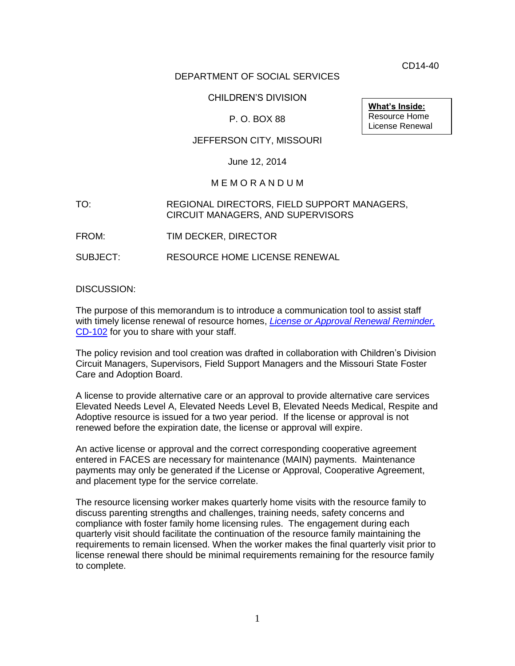CD14-40

## DEPARTMENT OF SOCIAL SERVICES

## CHILDREN'S DIVISION

## P. O. BOX 88

## JEFFERSON CITY, MISSOURI

#### June 12, 2014

#### M E M O R A N D U M

## TO: REGIONAL DIRECTORS, FIELD SUPPORT MANAGERS, CIRCUIT MANAGERS, AND SUPERVISORS

FROM: TIM DECKER, DIRECTOR

SUBJECT: RESOURCE HOME LICENSE RENEWAL

DISCUSSION:

The purpose of this memorandum is to introduce a communication tool to assist staff with timely license renewal of resource homes, *[License or Approval Renewal Reminder,](http://dss.mo.gov/cd/info/forms/)*  [CD-102](http://dss.mo.gov/cd/info/forms/) for you to share with your staff.

The policy revision and tool creation was drafted in collaboration with Children's Division Circuit Managers, Supervisors, Field Support Managers and the Missouri State Foster Care and Adoption Board.

A license to provide alternative care or an approval to provide alternative care services Elevated Needs Level A, Elevated Needs Level B, Elevated Needs Medical, Respite and Adoptive resource is issued for a two year period. If the license or approval is not renewed before the expiration date, the license or approval will expire.

An active license or approval and the correct corresponding cooperative agreement entered in FACES are necessary for maintenance (MAIN) payments. Maintenance payments may only be generated if the License or Approval, Cooperative Agreement, and placement type for the service correlate.

The resource licensing worker makes quarterly home visits with the resource family to discuss parenting strengths and challenges, training needs, safety concerns and compliance with foster family home licensing rules. The engagement during each quarterly visit should facilitate the continuation of the resource family maintaining the requirements to remain licensed. When the worker makes the final quarterly visit prior to license renewal there should be minimal requirements remaining for the resource family to complete.

**What's Inside:** Resource Home License Renewal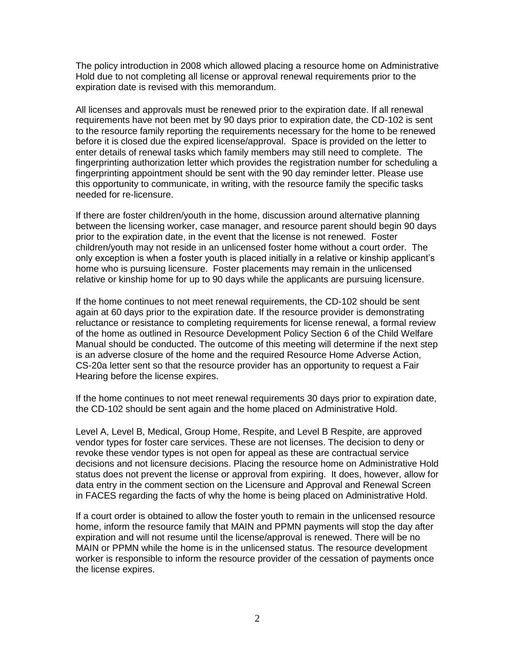The policy introduction in 2008 which allowed placing a resource home on Administrative Hold due to not completing all license or approval renewal requirements prior to the expiration date is revised with this memorandum.

All licenses and approvals must be renewed prior to the expiration date. If all renewal requirements have not been met by 90 days prior to expiration date, the CD-102 is sent to the resource family reporting the requirements necessary for the home to be renewed before it is closed due the expired license/approval. Space is provided on the letter to enter details of renewal tasks which family members may still need to complete. The fingerprinting authorization letter which provides the registration number for scheduling a fingerprinting appointment should be sent with the 90 day reminder letter. Please use this opportunity to communicate, in writing, with the resource family the specific tasks needed for re-licensure.

If there are foster children/youth in the home, discussion around alternative planning between the licensing worker, case manager, and resource parent should begin 90 days prior to the expiration date, in the event that the license is not renewed. Foster children/youth may not reside in an unlicensed foster home without a court order. The only exception is when a foster youth is placed initially in a relative or kinship applicant's home who is pursuing licensure. Foster placements may remain in the unlicensed relative or kinship home for up to 90 days while the applicants are pursuing licensure.

If the home continues to not meet renewal requirements, the CD-102 should be sent again at 60 days prior to the expiration date. If the resource provider is demonstrating reluctance or resistance to completing requirements for license renewal, a formal review of the home as outlined in Resource Development Policy Section 6 of the Child Welfare Manual should be conducted. The outcome of this meeting will determine if the next step is an adverse closure of the home and the required Resource Home Adverse Action, CS-20a letter sent so that the resource provider has an opportunity to request a Fair Hearing before the license expires.

If the home continues to not meet renewal requirements 30 days prior to expiration date, the CD-102 should be sent again and the home placed on Administrative Hold.

Level A, Level B, Medical, Group Home, Respite, and Level B Respite, are approved vendor types for foster care services. These are not licenses. The decision to deny or revoke these vendor types is not open for appeal as these are contractual service decisions and not licensure decisions. Placing the resource home on Administrative Hold status does not prevent the license or approval from expiring. It does, however, allow for data entry in the comment section on the Licensure and Approval and Renewal Screen in FACES regarding the facts of why the home is being placed on Administrative Hold.

If a court order is obtained to allow the foster youth to remain in the unlicensed resource home, inform the resource family that MAIN and PPMN payments will stop the day after expiration and will not resume until the license/approval is renewed. There will be no MAIN or PPMN while the home is in the unlicensed status. The resource development worker is responsible to inform the resource provider of the cessation of payments once the license expires.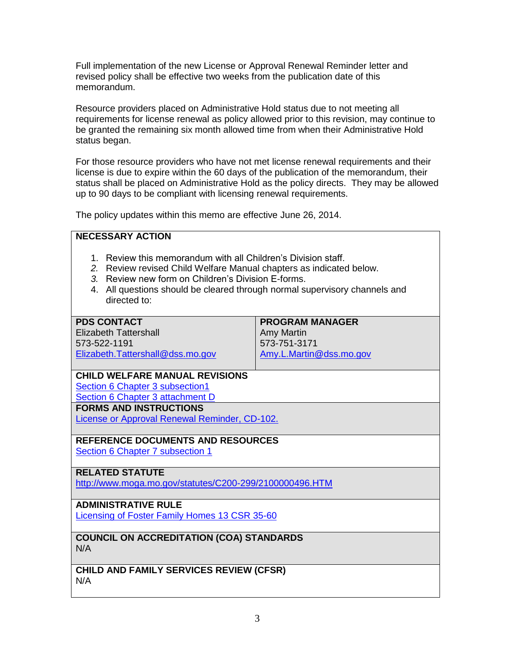Full implementation of the new License or Approval Renewal Reminder letter and revised policy shall be effective two weeks from the publication date of this memorandum.

Resource providers placed on Administrative Hold status due to not meeting all requirements for license renewal as policy allowed prior to this revision, may continue to be granted the remaining six month allowed time from when their Administrative Hold status began.

For those resource providers who have not met license renewal requirements and their license is due to expire within the 60 days of the publication of the memorandum, their status shall be placed on Administrative Hold as the policy directs. They may be allowed up to 90 days to be compliant with licensing renewal requirements.

The policy updates within this memo are effective June 26, 2014.

# **NECESSARY ACTION**

- 1. Review this memorandum with all Children's Division staff.
- *2.* Review revised Child Welfare Manual chapters as indicated below.
- *3.* Review new form on Children's Division E-forms.
- 4. All questions should be cleared through normal supervisory channels and directed to:

## **PDS CONTACT**

Elizabeth Tattershall 573-522-1191 [Elizabeth.Tattershall@dss.mo.gov](mailto:Elizabeth.Tattershall@dss.mo.gov) **PROGRAM MANAGER** Amy Martin 573-751-3171 [Amy.L.Martin@dss.mo.gov](mailto:Amy.L.Martin@dss.mo.gov)

# **CHILD WELFARE MANUAL REVISIONS** [Section 6 Chapter 3 subsection1](http://dss.mo.gov/cd/info/cwmanual/section6/ch3/sec6ch3sub1.htm#hold)

[Section 6 Chapter 3](http://dss.mo.gov/cd/info/cwmanual/section6/ch3/sec6ch3attachd.htm) attachment D

**FORMS AND INSTRUCTIONS**

[License or Approval Renewal Reminder, CD-102.](http://dss.mo.gov/cd/info/forms/)

# **REFERENCE DOCUMENTS AND RESOURCES**

[Section 6 Chapter 7 subsection 1](http://dss.mo.gov/cd/info/cwmanual/section6/ch7/sec6ch7index.htm)

# **RELATED STATUTE**

<http://www.moga.mo.gov/statutes/C200-299/2100000496.HTM>

# **ADMINISTRATIVE RULE**

[Licensing of Foster Family Homes 13 CSR 35-60](http://www.sos.mo.gov/adrules/csr/current/13csr/13c35-60.pdf)

#### **COUNCIL ON ACCREDITATION (COA) STANDARDS** N/A

**CHILD AND FAMILY SERVICES REVIEW (CFSR)** N/A